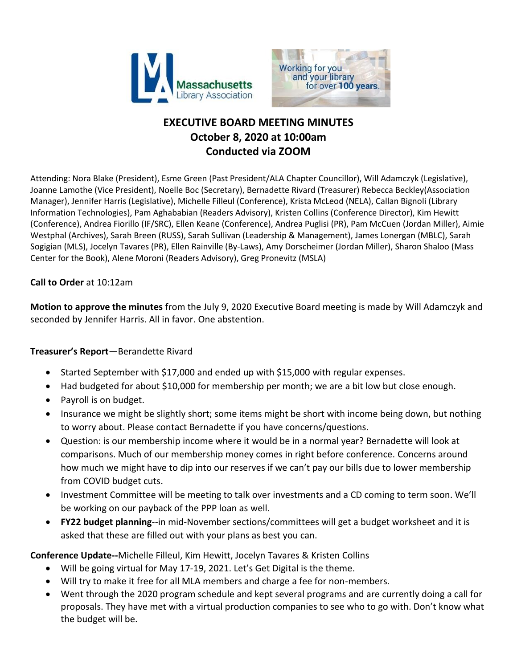



# **EXECUTIVE BOARD MEETING MINUTES October 8, 2020 at 10:00am Conducted via ZOOM**

Attending: Nora Blake (President), Esme Green (Past President/ALA Chapter Councillor), Will Adamczyk (Legislative), Joanne Lamothe (Vice President), Noelle Boc (Secretary), Bernadette Rivard (Treasurer) Rebecca Beckley(Association Manager), Jennifer Harris (Legislative), Michelle Filleul (Conference), Krista McLeod (NELA), Callan Bignoli (Library Information Technologies), Pam Aghababian (Readers Advisory), Kristen Collins (Conference Director), Kim Hewitt (Conference), Andrea Fiorillo (IF/SRC), Ellen Keane (Conference), Andrea Puglisi (PR), Pam McCuen (Jordan Miller), Aimie Westphal (Archives), Sarah Breen (RUSS), Sarah Sullivan (Leadership & Management), James Lonergan (MBLC), Sarah Sogigian (MLS), Jocelyn Tavares (PR), Ellen Rainville (By-Laws), Amy Dorscheimer (Jordan Miller), Sharon Shaloo (Mass Center for the Book), Alene Moroni (Readers Advisory), Greg Pronevitz (MSLA)

## **Call to Order** at 10:12am

**Motion to approve the minutes** from the July 9, 2020 Executive Board meeting is made by Will Adamczyk and seconded by Jennifer Harris. All in favor. One abstention.

### **Treasurer's Report**—Berandette Rivard

- Started September with \$17,000 and ended up with \$15,000 with regular expenses.
- Had budgeted for about \$10,000 for membership per month; we are a bit low but close enough.
- Payroll is on budget.
- Insurance we might be slightly short; some items might be short with income being down, but nothing to worry about. Please contact Bernadette if you have concerns/questions.
- Question: is our membership income where it would be in a normal year? Bernadette will look at comparisons. Much of our membership money comes in right before conference. Concerns around how much we might have to dip into our reserves if we can't pay our bills due to lower membership from COVID budget cuts.
- Investment Committee will be meeting to talk over investments and a CD coming to term soon. We'll be working on our payback of the PPP loan as well.
- **FY22 budget planning**--in mid-November sections/committees will get a budget worksheet and it is asked that these are filled out with your plans as best you can.

**Conference Update--**Michelle Filleul, Kim Hewitt, Jocelyn Tavares & Kristen Collins

- Will be going virtual for May 17-19, 2021. Let's Get Digital is the theme.
- Will try to make it free for all MLA members and charge a fee for non-members.
- Went through the 2020 program schedule and kept several programs and are currently doing a call for proposals. They have met with a virtual production companies to see who to go with. Don't know what the budget will be.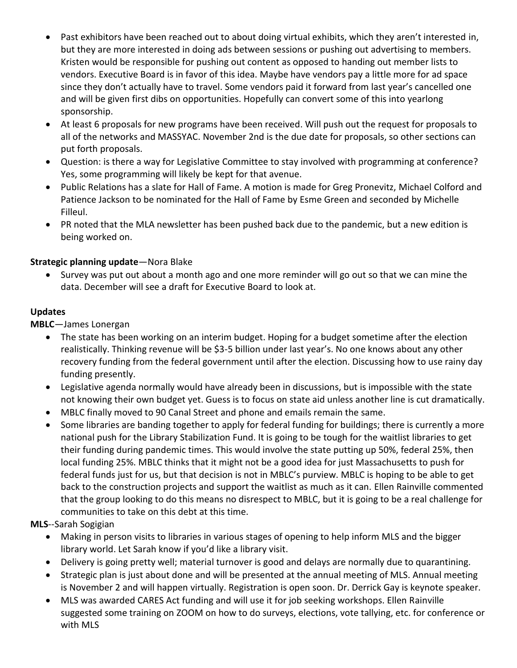- Past exhibitors have been reached out to about doing virtual exhibits, which they aren't interested in, but they are more interested in doing ads between sessions or pushing out advertising to members. Kristen would be responsible for pushing out content as opposed to handing out member lists to vendors. Executive Board is in favor of this idea. Maybe have vendors pay a little more for ad space since they don't actually have to travel. Some vendors paid it forward from last year's cancelled one and will be given first dibs on opportunities. Hopefully can convert some of this into yearlong sponsorship.
- At least 6 proposals for new programs have been received. Will push out the request for proposals to all of the networks and MASSYAC. November 2nd is the due date for proposals, so other sections can put forth proposals.
- Question: is there a way for Legislative Committee to stay involved with programming at conference? Yes, some programming will likely be kept for that avenue.
- Public Relations has a slate for Hall of Fame. A motion is made for Greg Pronevitz, Michael Colford and Patience Jackson to be nominated for the Hall of Fame by Esme Green and seconded by Michelle Filleul.
- PR noted that the MLA newsletter has been pushed back due to the pandemic, but a new edition is being worked on.

## **Strategic planning update**—Nora Blake

 Survey was put out about a month ago and one more reminder will go out so that we can mine the data. December will see a draft for Executive Board to look at.

# **Updates**

**MBLC**—James Lonergan

- The state has been working on an interim budget. Hoping for a budget sometime after the election realistically. Thinking revenue will be \$3-5 billion under last year's. No one knows about any other recovery funding from the federal government until after the election. Discussing how to use rainy day funding presently.
- Legislative agenda normally would have already been in discussions, but is impossible with the state not knowing their own budget yet. Guess is to focus on state aid unless another line is cut dramatically.
- MBLC finally moved to 90 Canal Street and phone and emails remain the same.
- Some libraries are banding together to apply for federal funding for buildings; there is currently a more national push for the Library Stabilization Fund. It is going to be tough for the waitlist libraries to get their funding during pandemic times. This would involve the state putting up 50%, federal 25%, then local funding 25%. MBLC thinks that it might not be a good idea for just Massachusetts to push for federal funds just for us, but that decision is not in MBLC's purview. MBLC is hoping to be able to get back to the construction projects and support the waitlist as much as it can. Ellen Rainville commented that the group looking to do this means no disrespect to MBLC, but it is going to be a real challenge for communities to take on this debt at this time.

**MLS**--Sarah Sogigian

- Making in person visits to libraries in various stages of opening to help inform MLS and the bigger library world. Let Sarah know if you'd like a library visit.
- Delivery is going pretty well; material turnover is good and delays are normally due to quarantining.
- Strategic plan is just about done and will be presented at the annual meeting of MLS. Annual meeting is November 2 and will happen virtually. Registration is open soon. Dr. Derrick Gay is keynote speaker.
- MLS was awarded CARES Act funding and will use it for job seeking workshops. Ellen Rainville suggested some training on ZOOM on how to do surveys, elections, vote tallying, etc. for conference or with MLS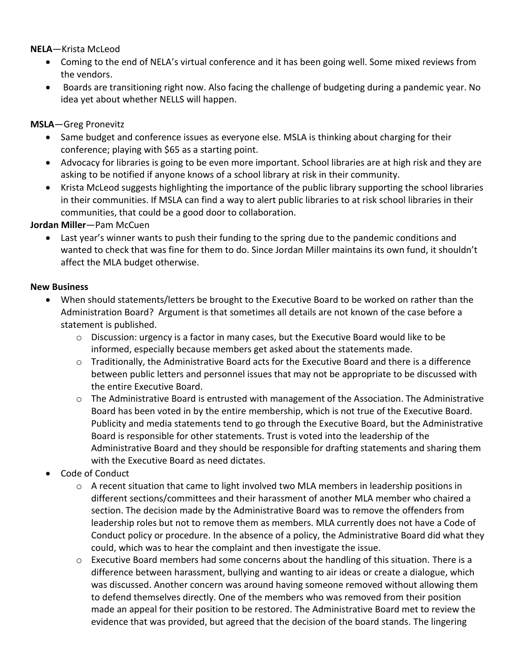**NELA**—Krista McLeod

- Coming to the end of NELA's virtual conference and it has been going well. Some mixed reviews from the vendors.
- Boards are transitioning right now. Also facing the challenge of budgeting during a pandemic year. No idea yet about whether NELLS will happen.

### **MSLA**—Greg Pronevitz

- Same budget and conference issues as everyone else. MSLA is thinking about charging for their conference; playing with \$65 as a starting point.
- Advocacy for libraries is going to be even more important. School libraries are at high risk and they are asking to be notified if anyone knows of a school library at risk in their community.
- Krista McLeod suggests highlighting the importance of the public library supporting the school libraries in their communities. If MSLA can find a way to alert public libraries to at risk school libraries in their communities, that could be a good door to collaboration.

**Jordan Miller**—Pam McCuen

 Last year's winner wants to push their funding to the spring due to the pandemic conditions and wanted to check that was fine for them to do. Since Jordan Miller maintains its own fund, it shouldn't affect the MLA budget otherwise.

### **New Business**

- When should statements/letters be brought to the Executive Board to be worked on rather than the Administration Board? Argument is that sometimes all details are not known of the case before a statement is published.
	- $\circ$  Discussion: urgency is a factor in many cases, but the Executive Board would like to be informed, especially because members get asked about the statements made.
	- o Traditionally, the Administrative Board acts for the Executive Board and there is a difference between public letters and personnel issues that may not be appropriate to be discussed with the entire Executive Board.
	- o The Administrative Board is entrusted with management of the Association. The Administrative Board has been voted in by the entire membership, which is not true of the Executive Board. Publicity and media statements tend to go through the Executive Board, but the Administrative Board is responsible for other statements. Trust is voted into the leadership of the Administrative Board and they should be responsible for drafting statements and sharing them with the Executive Board as need dictates.
- Code of Conduct
	- $\circ$  A recent situation that came to light involved two MLA members in leadership positions in different sections/committees and their harassment of another MLA member who chaired a section. The decision made by the Administrative Board was to remove the offenders from leadership roles but not to remove them as members. MLA currently does not have a Code of Conduct policy or procedure. In the absence of a policy, the Administrative Board did what they could, which was to hear the complaint and then investigate the issue.
	- $\circ$  Executive Board members had some concerns about the handling of this situation. There is a difference between harassment, bullying and wanting to air ideas or create a dialogue, which was discussed. Another concern was around having someone removed without allowing them to defend themselves directly. One of the members who was removed from their position made an appeal for their position to be restored. The Administrative Board met to review the evidence that was provided, but agreed that the decision of the board stands. The lingering